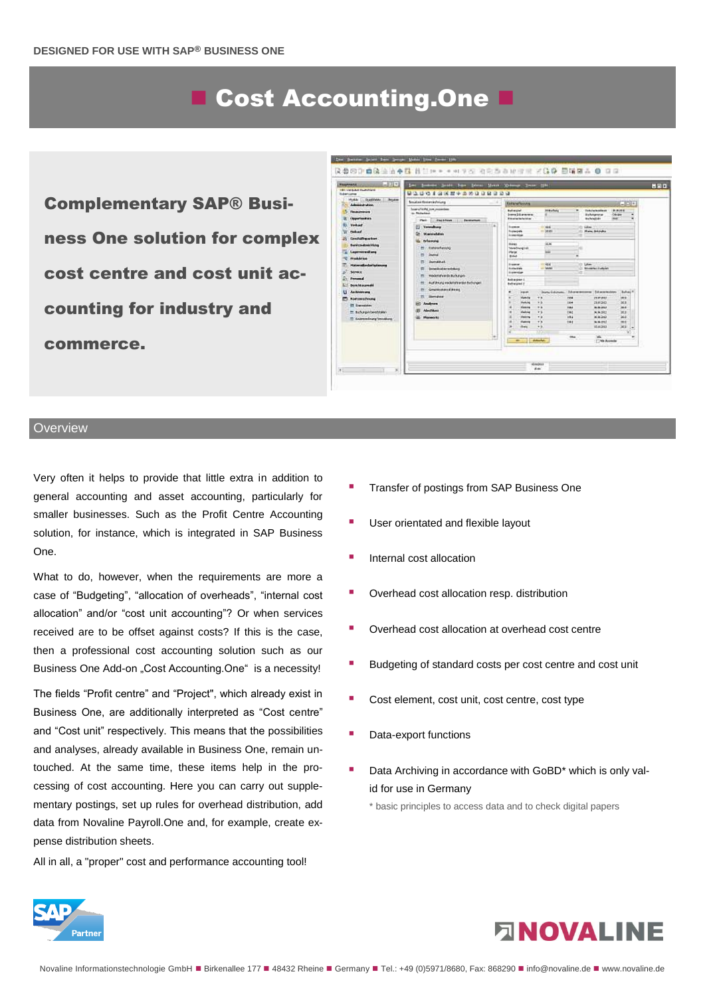# ■ Cost Accounting.One

Complementary SAP® Business One solution for complex cost centre and cost unit accounting for industry and commerce.



#### **Overview**

Very often it helps to provide that little extra in addition to general accounting and asset accounting, particularly for smaller businesses. Such as the Profit Centre Accounting solution, for instance, which is integrated in SAP Business One.

What to do, however, when the requirements are more a case of "Budgeting", "allocation of overheads", "internal cost allocation" and/or "cost unit accounting"? Or when services received are to be offset against costs? If this is the case, then a professional cost accounting solution such as our Business One Add-on "Cost Accounting.One" is a necessity!

The fields "Profit centre" and "Project", which already exist in Business One, are additionally interpreted as "Cost centre" and "Cost unit" respectively. This means that the possibilities and analyses, already available in Business One, remain untouched. At the same time, these items help in the processing of cost accounting. Here you can carry out supplementary postings, set up rules for overhead distribution, add data from Novaline Payroll.One and, for example, create expense distribution sheets.

All in all, a "proper" cost and performance accounting tool!

- Transfer of postings from SAP Business One
- User orientated and flexible layout
- Internal cost allocation
- Overhead cost allocation resp. distribution
- Overhead cost allocation at overhead cost centre
- Budgeting of standard costs per cost centre and cost unit
- Cost element, cost unit, cost centre, cost type
- Data-export functions
- Data Archiving in accordance with GoBD\* which is only valid for use in Germany

\* basic principles to access data and to check digital papers